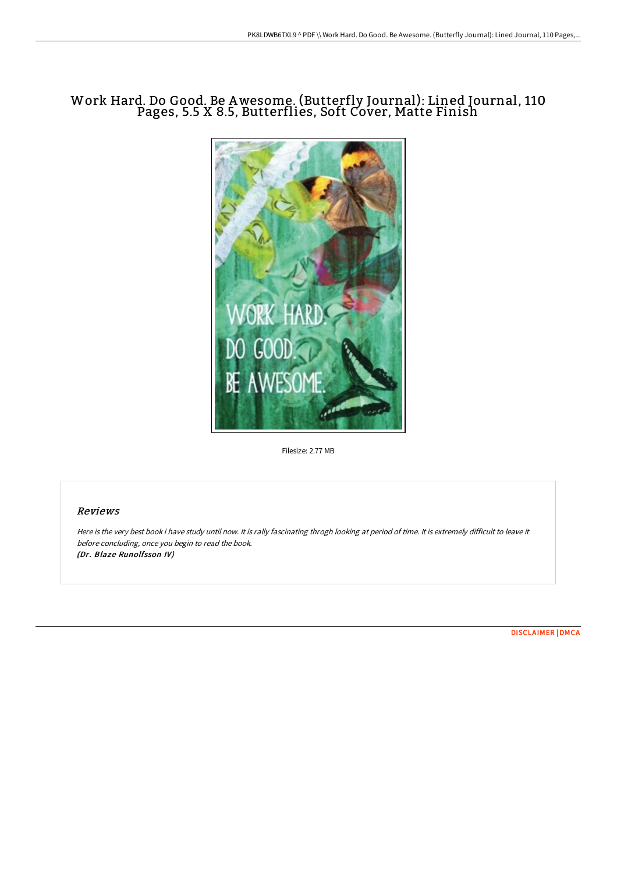# Work Hard. Do Good. Be Awesome. (Butterfly Journal): Lined Journal, 110 Pages, 5.5 X 8.5, Butterflies, Soft Cover, Matte Finish



Filesize: 2.77 MB

#### Reviews

Here is the very best book i have study until now. It is rally fascinating throgh looking at period of time. It is extremely difficult to leave it before concluding, once you begin to read the book. (Dr. Blaze Runolfsson IV)

[DISCLAIMER](http://albedo.media/disclaimer.html) | [DMCA](http://albedo.media/dmca.html)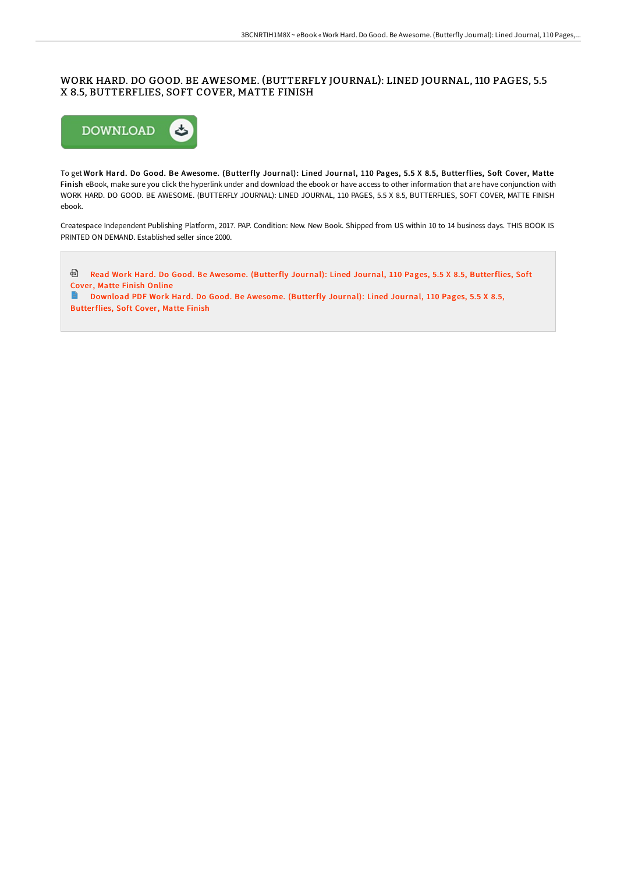## WORK HARD. DO GOOD. BE AWESOME. (BUTTERFLY JOURNAL): LINED JOURNAL, 110 PAGES, 5.5 X 8.5, BUTTERFLIES, SOFT COVER, MATTE FINISH



To get Work Hard. Do Good. Be Awesome. (Butterfly Journal): Lined Journal, 110 Pages, 5.5 X 8.5, Butterflies, Soft Cover, Matte Finish eBook, make sure you click the hyperlink under and download the ebook or have access to other information that are have conjunction with WORK HARD. DO GOOD. BE AWESOME. (BUTTERFLY JOURNAL): LINED JOURNAL, 110 PAGES, 5.5 X 8.5, BUTTERFLIES, SOFT COVER, MATTE FINISH ebook.

Createspace Independent Publishing Platform, 2017. PAP. Condition: New. New Book. Shipped from US within 10 to 14 business days. THIS BOOK IS PRINTED ON DEMAND. Established seller since 2000.